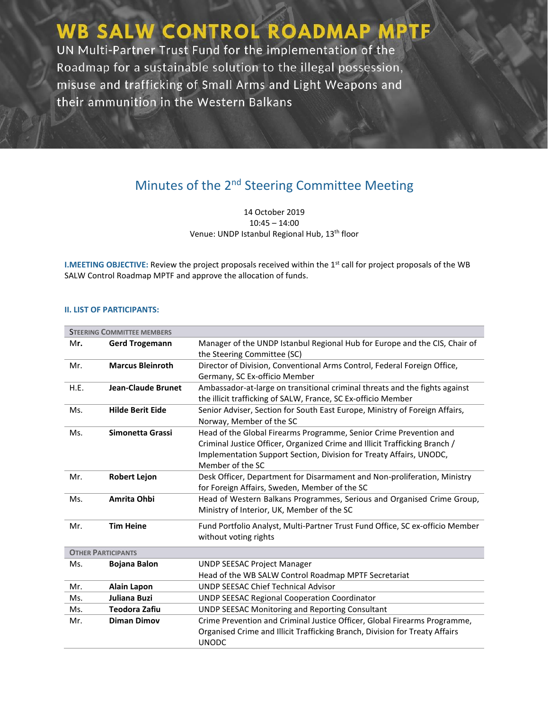WB SALW CONTROL ROADMAP MPTF UN Multi-Partner Trust Fund for the implementation of the Roadmap for a sustainable solution to the illegal possession, misuse and trafficking of Small Arms and Light Weapons and their ammunition in the Western Balkans

# Minutes of the 2<sup>nd</sup> Steering Committee Meeting

14 October 2019 10:45 – 14:00 Venue: UNDP Istanbul Regional Hub, 13<sup>th</sup> floor

**I.MEETING OBJECTIVE:** Review the project proposals received within the 1<sup>st</sup> call for project proposals of the WB SALW Control Roadmap MPTF and approve the allocation of funds.

#### **II. LIST OF PARTICIPANTS:**

| <b>STEERING COMMITTEE MEMBERS</b> |                                                           |                                                                               |  |  |
|-----------------------------------|-----------------------------------------------------------|-------------------------------------------------------------------------------|--|--|
| Mr.                               | <b>Gerd Trogemann</b>                                     | Manager of the UNDP Istanbul Regional Hub for Europe and the CIS, Chair of    |  |  |
|                                   |                                                           | the Steering Committee (SC)                                                   |  |  |
| Mr.                               | <b>Marcus Bleinroth</b>                                   | Director of Division, Conventional Arms Control, Federal Foreign Office,      |  |  |
|                                   |                                                           | Germany, SC Ex-officio Member                                                 |  |  |
| H.E.                              | <b>Jean-Claude Brunet</b>                                 | Ambassador-at-large on transitional criminal threats and the fights against   |  |  |
|                                   |                                                           | the illicit trafficking of SALW, France, SC Ex-officio Member                 |  |  |
| Ms.                               | <b>Hilde Berit Eide</b>                                   | Senior Adviser, Section for South East Europe, Ministry of Foreign Affairs,   |  |  |
|                                   |                                                           | Norway, Member of the SC                                                      |  |  |
| Ms.                               | Simonetta Grassi                                          | Head of the Global Firearms Programme, Senior Crime Prevention and            |  |  |
|                                   |                                                           | Criminal Justice Officer, Organized Crime and Illicit Trafficking Branch /    |  |  |
|                                   |                                                           | Implementation Support Section, Division for Treaty Affairs, UNODC,           |  |  |
|                                   |                                                           | Member of the SC                                                              |  |  |
| Mr.                               | <b>Robert Lejon</b>                                       | Desk Officer, Department for Disarmament and Non-proliferation, Ministry      |  |  |
|                                   |                                                           | for Foreign Affairs, Sweden, Member of the SC                                 |  |  |
| Ms.                               | Amrita Ohbi                                               | Head of Western Balkans Programmes, Serious and Organised Crime Group,        |  |  |
|                                   |                                                           | Ministry of Interior, UK, Member of the SC                                    |  |  |
| Mr.                               | <b>Tim Heine</b>                                          | Fund Portfolio Analyst, Multi-Partner Trust Fund Office, SC ex-officio Member |  |  |
|                                   |                                                           | without voting rights                                                         |  |  |
| <b>OTHER PARTICIPANTS</b>         |                                                           |                                                                               |  |  |
| Ms.                               | <b>Bojana Balon</b><br><b>UNDP SEESAC Project Manager</b> |                                                                               |  |  |
|                                   |                                                           | Head of the WB SALW Control Roadmap MPTF Secretariat                          |  |  |
| Mr.                               | <b>Alain Lapon</b>                                        | <b>UNDP SEESAC Chief Technical Advisor</b>                                    |  |  |
| Ms.                               | Juliana Buzi                                              | <b>UNDP SEESAC Regional Cooperation Coordinator</b>                           |  |  |
| Ms.                               | <b>Teodora Zafiu</b>                                      | <b>UNDP SEESAC Monitoring and Reporting Consultant</b>                        |  |  |
| Mr.                               | <b>Diman Dimov</b>                                        | Crime Prevention and Criminal Justice Officer, Global Firearms Programme,     |  |  |
|                                   |                                                           | Organised Crime and Illicit Trafficking Branch, Division for Treaty Affairs   |  |  |
|                                   |                                                           | <b>UNODC</b>                                                                  |  |  |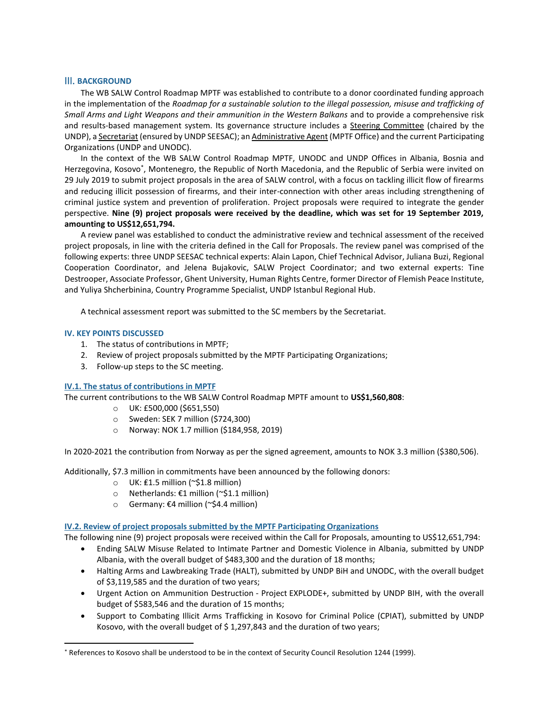#### III. **BACKGROUND**

The WB SALW Control Roadmap MPTF was established to contribute to a donor coordinated funding approach in the implementation of the *Roadmap for a sustainable solution to the illegal possession, misuse and trafficking of Small Arms and Light Weapons and their ammunition in the Western Balkans* and to provide a comprehensive risk and results-based management system. Its governance structure includes a Steering Committee (chaired by the UNDP), a Secretariat (ensured by UNDP SEESAC); an Administrative Agent (MPTF Office) and the current Participating Organizations (UNDP and UNODC).

In the context of the WB SALW Control Roadmap MPTF, UNODC and UNDP Offices in Albania, Bosnia and Herzegovina, Kosovo<sup>\*</sup>, Montenegro, the Republic of North Macedonia, and the Republic of Serbia were invited on 29 July 2019 to submit project proposals in the area of SALW control, with a focus on tackling illicit flow of firearms and reducing illicit possession of firearms, and their inter-connection with other areas including strengthening of criminal justice system and prevention of proliferation. Project proposals were required to integrate the gender perspective. **Nine (9) project proposals were received by the deadline, which was set for 19 September 2019, amounting to US\$12,651,794.**

A review panel was established to conduct the administrative review and technical assessment of the received project proposals, in line with the criteria defined in the Call for Proposals. The review panel was comprised of the following experts: three UNDP SEESAC technical experts: Alain Lapon, Chief Technical Advisor, Juliana Buzi, Regional Cooperation Coordinator, and Jelena Bujakovic, SALW Project Coordinator; and two external experts: Tine Destrooper, Associate Professor, Ghent University, Human Rights Centre, former Director of Flemish Peace Institute, and Yuliya Shcherbinina, Country Programme Specialist, UNDP Istanbul Regional Hub.

A technical assessment report was submitted to the SC members by the Secretariat.

### **IV. KEY POINTS DISCUSSED**

 $\overline{a}$ 

- 1. The status of contributions in MPTF;
- 2. Review of project proposals submitted by the MPTF Participating Organizations;
- 3. Follow-up steps to the SC meeting.

#### **IV.1. The status of contributions in MPTF**

The current contributions to the WB SALW Control Roadmap MPTF amount to **US\$1,560,808**:

- o UK: £500,000 (\$651,550)
- o Sweden: SEK 7 million (\$724,300)
- o Norway: NOK 1.7 million (\$184,958, 2019)

In 2020-2021 the contribution from Norway as per the signed agreement, amounts to NOK 3.3 million (\$380,506).

Additionally, \$7.3 million in commitments have been announced by the following donors:

- o UK: ₤1.5 million (~\$1.8 million)
- o Netherlands: €1 million (~\$1.1 million)
- o Germany: €4 million (~\$4.4 million)

#### **IV.2. Review of project proposals submitted by the MPTF Participating Organizations**

The following nine (9) project proposals were received within the Call for Proposals, amounting to US\$12,651,794:

- Ending SALW Misuse Related to Intimate Partner and Domestic Violence in Albania, submitted by UNDP Albania, with the overall budget of \$483,300 and the duration of 18 months;
- Halting Arms and Lawbreaking Trade (HALT), submitted by UNDP BiH and UNODC, with the overall budget of \$3,119,585 and the duration of two years;
- Urgent Action on Ammunition Destruction Project EXPLODE+, submitted by UNDP BIH, with the overall budget of \$583,546 and the duration of 15 months;
- Support to Combating Illicit Arms Trafficking in Kosovo for Criminal Police (CPIAT), submitted by UNDP Kosovo, with the overall budget of \$ 1,297,843 and the duration of two years;

<sup>\*</sup> References to Kosovo shall be understood to be in the context of Security Council Resolution 1244 (1999).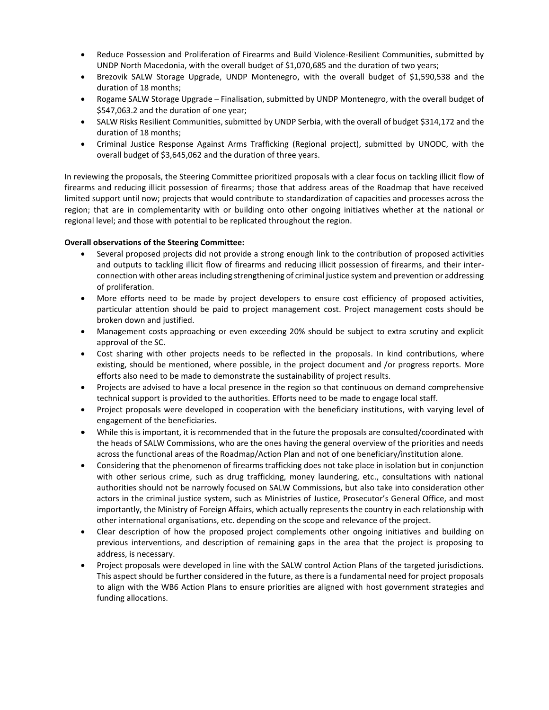- Reduce Possession and Proliferation of Firearms and Build Violence-Resilient Communities, submitted by UNDP North Macedonia, with the overall budget of \$1,070,685 and the duration of two years;
- Brezovik SALW Storage Upgrade, UNDP Montenegro, with the overall budget of \$1,590,538 and the duration of 18 months;
- Rogame SALW Storage Upgrade Finalisation, submitted by UNDP Montenegro, with the overall budget of \$547,063.2 and the duration of one year;
- SALW Risks Resilient Communities, submitted by UNDP Serbia, with the overall of budget \$314,172 and the duration of 18 months;
- Criminal Justice Response Against Arms Trafficking (Regional project), submitted by UNODC, with the overall budget of \$3,645,062 and the duration of three years.

In reviewing the proposals, the Steering Committee prioritized proposals with a clear focus on tackling illicit flow of firearms and reducing illicit possession of firearms; those that address areas of the Roadmap that have received limited support until now; projects that would contribute to standardization of capacities and processes across the region; that are in complementarity with or building onto other ongoing initiatives whether at the national or regional level; and those with potential to be replicated throughout the region.

# **Overall observations of the Steering Committee:**

- Several proposed projects did not provide a strong enough link to the contribution of proposed activities and outputs to tackling illicit flow of firearms and reducing illicit possession of firearms, and their interconnection with other areas including strengthening of criminal justice system and prevention or addressing of proliferation.
- More efforts need to be made by project developers to ensure cost efficiency of proposed activities, particular attention should be paid to project management cost. Project management costs should be broken down and justified.
- Management costs approaching or even exceeding 20% should be subject to extra scrutiny and explicit approval of the SC.
- Cost sharing with other projects needs to be reflected in the proposals. In kind contributions, where existing, should be mentioned, where possible, in the project document and /or progress reports. More efforts also need to be made to demonstrate the sustainability of project results.
- Projects are advised to have a local presence in the region so that continuous on demand comprehensive technical support is provided to the authorities. Efforts need to be made to engage local staff.
- Project proposals were developed in cooperation with the beneficiary institutions, with varying level of engagement of the beneficiaries.
- While this is important, it is recommended that in the future the proposals are consulted/coordinated with the heads of SALW Commissions, who are the ones having the general overview of the priorities and needs across the functional areas of the Roadmap/Action Plan and not of one beneficiary/institution alone.
- Considering that the phenomenon of firearms trafficking does not take place in isolation but in conjunction with other serious crime, such as drug trafficking, money laundering, etc., consultations with national authorities should not be narrowly focused on SALW Commissions, but also take into consideration other actors in the criminal justice system, such as Ministries of Justice, Prosecutor's General Office, and most importantly, the Ministry of Foreign Affairs, which actually represents the country in each relationship with other international organisations, etc. depending on the scope and relevance of the project.
- Clear description of how the proposed project complements other ongoing initiatives and building on previous interventions, and description of remaining gaps in the area that the project is proposing to address, is necessary.
- Project proposals were developed in line with the SALW control Action Plans of the targeted jurisdictions. This aspect should be further considered in the future, as there is a fundamental need for project proposals to align with the WB6 Action Plans to ensure priorities are aligned with host government strategies and funding allocations.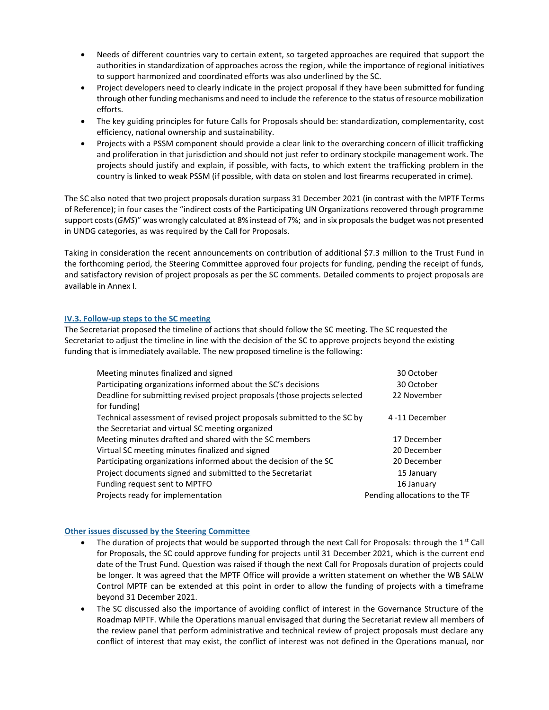- Needs of different countries vary to certain extent, so targeted approaches are required that support the authorities in standardization of approaches across the region, while the importance of regional initiatives to support harmonized and coordinated efforts was also underlined by the SC.
- Project developers need to clearly indicate in the project proposal if they have been submitted for funding through other funding mechanisms and need to include the reference to the status of resource mobilization efforts.
- The key guiding principles for future Calls for Proposals should be: standardization, complementarity, cost efficiency, national ownership and sustainability.
- Projects with a PSSM component should provide a clear link to the overarching concern of illicit trafficking and proliferation in that jurisdiction and should not just refer to ordinary stockpile management work. The projects should justify and explain, if possible, with facts, to which extent the trafficking problem in the country is linked to weak PSSM (if possible, with data on stolen and lost firearms recuperated in crime).

The SC also noted that two project proposals duration surpass 31 December 2021 (in contrast with the MPTF Terms of Reference); in four cases the "indirect costs of the Participating UN Organizations recovered through programme support costs (*GMS*)" was wrongly calculated at 8% instead of 7%; and in six proposals the budget was not presented in UNDG categories, as was required by the Call for Proposals.

Taking in consideration the recent announcements on contribution of additional \$7.3 million to the Trust Fund in the forthcoming period, the Steering Committee approved four projects for funding, pending the receipt of funds, and satisfactory revision of project proposals as per the SC comments. Detailed comments to project proposals are available in Annex I.

# **IV.3. Follow-up steps to the SC meeting**

The Secretariat proposed the timeline of actions that should follow the SC meeting. The SC requested the Secretariat to adjust the timeline in line with the decision of the SC to approve projects beyond the existing funding that is immediately available. The new proposed timeline is the following:

| Meeting minutes finalized and signed                                       | 30 October                    |  |
|----------------------------------------------------------------------------|-------------------------------|--|
| Participating organizations informed about the SC's decisions              | 30 October                    |  |
| Deadline for submitting revised project proposals (those projects selected | 22 November                   |  |
| for funding)                                                               |                               |  |
| Technical assessment of revised project proposals submitted to the SC by   | 4-11 December                 |  |
| the Secretariat and virtual SC meeting organized                           |                               |  |
| Meeting minutes drafted and shared with the SC members                     | 17 December                   |  |
| Virtual SC meeting minutes finalized and signed                            | 20 December                   |  |
| Participating organizations informed about the decision of the SC          | 20 December                   |  |
| Project documents signed and submitted to the Secretariat                  | 15 January                    |  |
| Funding request sent to MPTFO                                              | 16 January                    |  |
| Projects ready for implementation                                          | Pending allocations to the TF |  |

# **Other issues discussed by the Steering Committee**

- The duration of projects that would be supported through the next Call for Proposals: through the  $1^{st}$  Call for Proposals, the SC could approve funding for projects until 31 December 2021, which is the current end date of the Trust Fund. Question was raised if though the next Call for Proposals duration of projects could be longer. It was agreed that the MPTF Office will provide a written statement on whether the WB SALW Control MPTF can be extended at this point in order to allow the funding of projects with a timeframe beyond 31 December 2021.
- The SC discussed also the importance of avoiding conflict of interest in the Governance Structure of the Roadmap MPTF. While the Operations manual envisaged that during the Secretariat review all members of the review panel that perform administrative and technical review of project proposals must declare any conflict of interest that may exist, the conflict of interest was not defined in the Operations manual, nor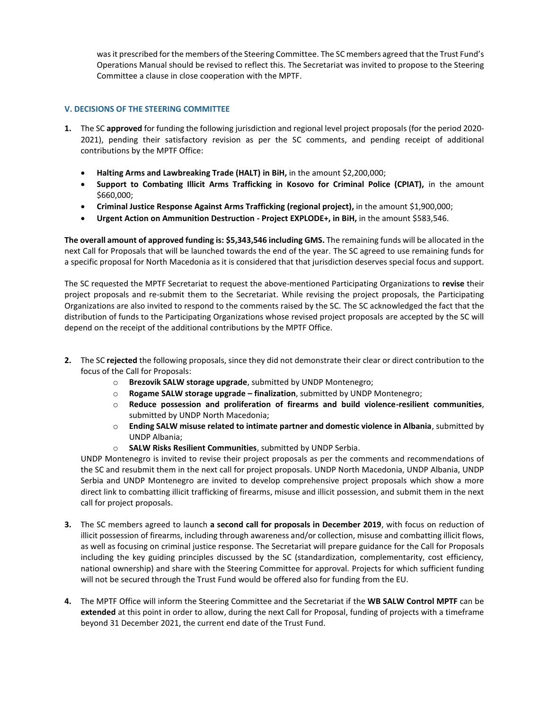was it prescribed for the members of the Steering Committee. The SC members agreed that the Trust Fund's Operations Manual should be revised to reflect this. The Secretariat was invited to propose to the Steering Committee a clause in close cooperation with the MPTF.

## **V. DECISIONS OF THE STEERING COMMITTEE**

- **1.** The SC **approved** for funding the following jurisdiction and regional level project proposals (for the period 2020- 2021), pending their satisfactory revision as per the SC comments, and pending receipt of additional contributions by the MPTF Office:
	- **Halting Arms and Lawbreaking Trade (HALT) in BiH,** in the amount \$2,200,000;
	- **Support to Combating Illicit Arms Trafficking in Kosovo for Criminal Police (CPIAT),** in the amount \$660,000;
	- **Criminal Justice Response Against Arms Trafficking (regional project),** in the amount \$1,900,000;
	- **Urgent Action on Ammunition Destruction - Project EXPLODE+, in BiH,** in the amount \$583,546.

**The overall amount of approved funding is: \$5,343,546 including GMS.** The remaining funds will be allocated in the next Call for Proposals that will be launched towards the end of the year. The SC agreed to use remaining funds for a specific proposal for North Macedonia as it is considered that that jurisdiction deserves special focus and support.

The SC requested the MPTF Secretariat to request the above-mentioned Participating Organizations to **revise** their project proposals and re-submit them to the Secretariat. While revising the project proposals, the Participating Organizations are also invited to respond to the comments raised by the SC. The SC acknowledged the fact that the distribution of funds to the Participating Organizations whose revised project proposals are accepted by the SC will depend on the receipt of the additional contributions by the MPTF Office.

- **2.** The SC **rejected** the following proposals, since they did not demonstrate their clear or direct contribution to the focus of the Call for Proposals:
	- o **Brezovik SALW storage upgrade**, submitted by UNDP Montenegro;
	- o **Rogame SALW storage upgrade – finalization**, submitted by UNDP Montenegro;
	- o **Reduce possession and proliferation of firearms and build violence-resilient communities**, submitted by UNDP North Macedonia;
	- o **Ending SALW misuse related to intimate partner and domestic violence in Albania**, submitted by UNDP Albania;
	- o **SALW Risks Resilient Communities**, submitted by UNDP Serbia.

UNDP Montenegro is invited to revise their project proposals as per the comments and recommendations of the SC and resubmit them in the next call for project proposals. UNDP North Macedonia, UNDP Albania, UNDP Serbia and UNDP Montenegro are invited to develop comprehensive project proposals which show a more direct link to combatting illicit trafficking of firearms, misuse and illicit possession, and submit them in the next call for project proposals.

- **3.** The SC members agreed to launch **a second call for proposals in December 2019**, with focus on reduction of illicit possession of firearms, including through awareness and/or collection, misuse and combatting illicit flows, as well as focusing on criminal justice response. The Secretariat will prepare guidance for the Call for Proposals including the key guiding principles discussed by the SC (standardization, complementarity, cost efficiency, national ownership) and share with the Steering Committee for approval. Projects for which sufficient funding will not be secured through the Trust Fund would be offered also for funding from the EU.
- **4.** The MPTF Office will inform the Steering Committee and the Secretariat if the **WB SALW Control MPTF** can be **extended** at this point in order to allow, during the next Call for Proposal, funding of projects with a timeframe beyond 31 December 2021, the current end date of the Trust Fund.